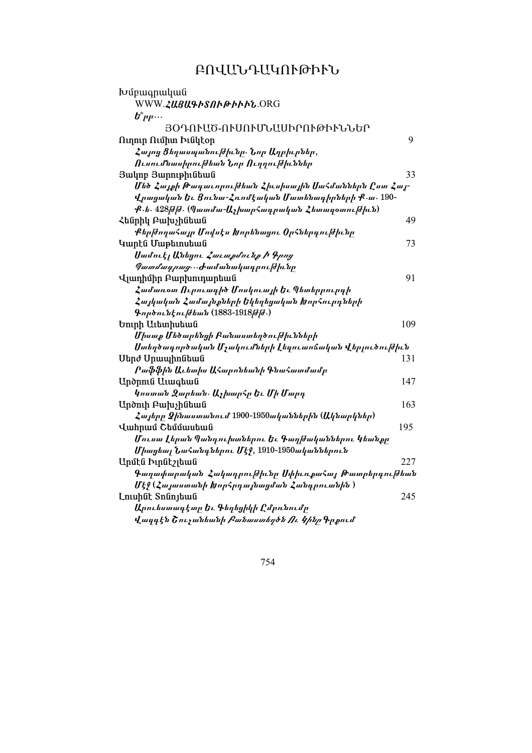# ԲՈՎԱՆԴԱԿՈՒԹՒՒՆ

| Խմբագրական                                             |     |
|--------------------------------------------------------|-----|
| WWW.ZU8U&hSNhphhht.ORG                                 |     |
| $\bm{b}^{\circ}$ րբ $\cdots$                           |     |
| ՅՕԴՈՒԱԾ-ՈՒՍՈՒՄՆԱՍԻՐՈՒԹԻՒՆՆԵՐ                           |     |
| Ուղուր Ումիտ Իւնկէօր                                   | 9   |
| Հայոց Ցեղասպանութիւնը. Նոր Աղբիւրներ,                  |     |
| Ուսումնասիրուխեան Նոր Ուղղուխիւններ                    |     |
| Յակոբ Յարութիւնեան                                     | 33  |
| Մեծ Հայքի Թագաւորուխեան Հիւսիսային Սահմաններն Ըստ Հայ- |     |
| Վրացական Եւ Ցունա-Հռոմէական Մատենագիրների Ք.ա. 190-    |     |
| Ք․ե․ 428թթթ․ (Պատմա-Աչխարհադրական Հետագօտութիւն)       |     |
| Հենրիկ Բախչինեան                                       | 49  |
| ՔերխողաՀայր Մովսէս Խորենացու ՕրՀներգուխիւնը            |     |
| Կարէն Մաթեւոսեան                                       | 73  |
| Սամուէլ Անեցու <i>Հաւաքմունք Ի Գրոց</i>                |     |
| <i>Պատմագրաց</i> …Ժամանակագրու <i>թիւ</i> նը           |     |
| Վլադիմիր Բարխուդարեան                                  | 91  |
| Համառօտ Ուրուագիծ Մոսկուայի Եւ Պետերբուրգի             |     |
| Հայկական Համայնքների Եկեղեցական Խորհուրդների           |     |
| $9$ ործունէու <i>[</i> ժեան (1883-1918 <i>[]</i> .)    |     |
| Եուրի Աւետիսեան                                        | 109 |
| Միսաք Մեծարենցի Բանաստեղծութիւնների                    |     |
| Ստեղծագործական Մչակումների Լեզուաոճական Վերլուծուխիւն  |     |
| Սերժ Սրապիոնեան                                        | 131 |
| Րաֆֆին Աւետիս ԱՀարոնեանի ԳնաՀատմամբ                    |     |
| Undnnia Uimquma                                        | 147 |
| կոստան Զարեան. ԱչխարՀր Եւ Մի Մարդ                      |     |
| Արծուի Բախչինեան                                       | 163 |
| Հայերը Չինաստանում 1900-1950ականներին (Ակնարկներ)      |     |
| Վահրամ Շեմմասեան                                       | 195 |
| Մուսա Լերան Պանդուխտներու Եւ Գաղխականներու Կեանքը      |     |
| Միացեալ Նահանգներու Մէջ, 1910-1950ականներուն           |     |
| Արմէն Իւրնէշլեան                                       | 227 |
| Գաղափարական Հակադրուխիւնը ՍփիւռքաՀայ Թատրերդուխեան     |     |
| Մէջ (Հայաստանի խորհրդայնացման Հանդրուանին )            |     |
| Lnuhut Snunjtwu                                        | 245 |
| Արուեստագէտր Եւ Գեղեցիկի Ըմբռնումը                     |     |
| վազգէն Շուչանեանի <i>Բանաստեղծն Ու Կինը</i> Գրքում     |     |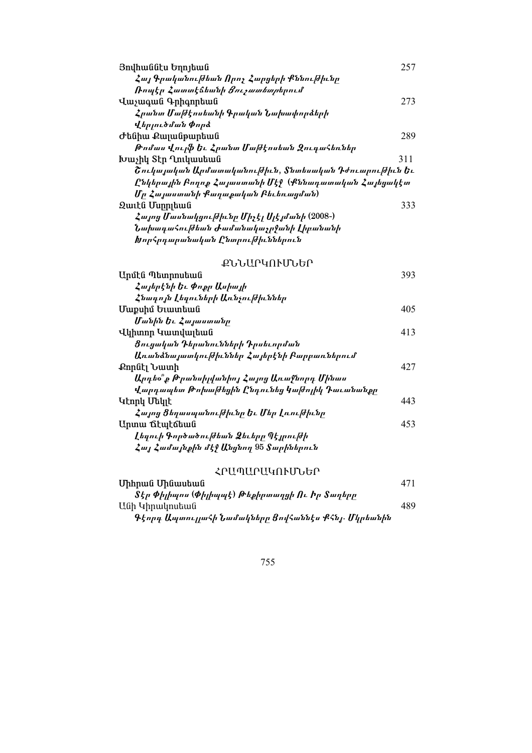| 257<br>Յովհաննէս Եղոյեան                              |  |
|-------------------------------------------------------|--|
| Հայ Գրականուխեան Որոչ Հարցերի Քննուխիւնը              |  |
| <i>Ռոպէր Հատտէ</i> ճեանի <i>Ցուչատետր</i> երում       |  |
| 273<br>Վաչագան Գրիգորեան                              |  |
| Հրանտ Մախէոսեանի Գրական Նախափորձերի                   |  |
| վերյուծման Փորձ                                       |  |
| 289<br>Ժենիա Քայանթարեան                              |  |
| Թոմաս Վուլֆ Եւ Հրանտ Մախէոսեան ԶուդաՀեռներ            |  |
| 311<br>Խաչիկ Տէր Ղուկասեան                            |  |
| Շուկայական Արմատականուխիւն, Տնտեսական Դժուարուխիւն Եւ |  |
| Ընկերային Բողոք Հայաստանի Մէջ (Քննադատական Հայեցակէտ  |  |
| Մր Հայաստանի Քաղաքական Բեւեռացման)                    |  |
| 333<br>Զաւէն Մսրրյեան                                 |  |
| Հայոց Մասնակցուխիւնը Միչէլ Սլէյմանի (2008-)           |  |
| Նախագահուխեան Ժամանակաչրջանի Լիբանանի                 |  |
| Խորհրդարանական Ընտրուխիւններուն                       |  |

# **ՔՆՆԱՐԿՈՒՄՆԵՐ**

| Unմէն Պետրոսեան                               | 393 |
|-----------------------------------------------|-----|
| Հայերէնի Եւ Փոքր Ասիայի                       |     |
| Հնագոյն Լեզուների Առնչուխիւններ               |     |
| Մաքսիմ Եւատեան                                | 405 |
| Մանին Եւ Հայաստանը                            |     |
| Վկիտոր Կատվալեան                              | 413 |
| Ցուցական Դերանունների Դրսեւորման              |     |
| Առանձնայատկուխիւններ Հայերէնի Բարբառներում    |     |
| Քորնէլ Նատի                                   | 427 |
| Արդեօ՞ք Թրանսիլվանիոյ Հայոց Առաջնորդ Մինաս    |     |
| Վարդապետ Թոխախեցին Ընդունեց կախոլիկ Դաւանանքը |     |
| Կէորկ Մեկլէ                                   | 443 |
| Հայոց Ցեղասպանութիւնը Եւ Մեր Լռութիւնը        |     |
| Արտա ճէպէճեան                                 | 453 |
| Լեգուի Գործածուխեան Ձեւերը Պէյրուխի           |     |
| Հայ Համայնքին մէջ Անցնող 95 Տարիներուն        |     |

| ՀԲԱՊԱԲԱԿՈՒՄՆԵԲ                                      |     |
|-----------------------------------------------------|-----|
| Միհրան Մինասեան                                     | 471 |
| Տէր Փիլիպոս (Փիլիպպէ) Թեքիրտաղցի Ու Իր Տաղերը       |     |
| Անի Կիրակոսեան                                      | 489 |
| Գէորգ Ապտուլլահի Նամակները Ցովհաննէս Քհնյ․ Մկրեանին |     |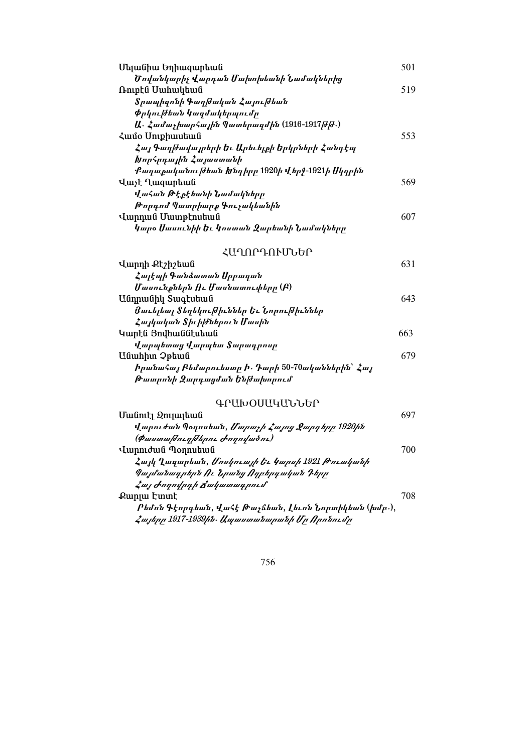| Մելանիա Եղիազարեան                                              | 501 |
|-----------------------------------------------------------------|-----|
| Ծովանկարիչ Վարդան Մախոխեանի Նամակներից                          |     |
| Ռուբէն Սահակեան                                                 | 519 |
| Տրապիզոնի Գաղխական Հայուխեան                                    |     |
| <i>Փրկու </i> ժեան կազմակերպումը                                |     |
| Ա․ Համաչխարհային Պատերազմին (1916-1917թթթ.)                     |     |
| Համօ Սուքիասեան                                                 | 553 |
| Հայ Գաղխավայրերի Եւ Արեւելքի Երկրների Հանդէպ                    |     |
| Խորհրդային Հայաստանի                                            |     |
| Քաղաքականուխեան Խնդիրը 1920ի Վերջ-1921ի Սկզբին                  |     |
| Վաչէ Ղազարեան                                                   | 569 |
| ՎաՀան Թէքէեանի Նամակները                                        |     |
| Թորգոմ Պատրիարք Գուչակեանին                                     |     |
| Վարդան Մատթէոսեան                                               | 607 |
| կարօ Սասունիի Եւ կոստան Զարեանի Նամակները                       |     |
| ՀԱՂՈԽԺՍԻՂՐԻ                                                     |     |
| Վարդի Քէշիշեան                                                  | 631 |
| Հայէպի Գանձատան Սրբագան                                         |     |
| Մասունքներն Ու Մասնատուփերը (Բ)                                 |     |
| Անդրանիկ Տագէսեան                                               | 643 |
| Ցաւելեալ Տեղեկու ժիւններ Եւ Նորու ժիւններ                       |     |
| Հայկական Տիւիխներուն Մասին                                      |     |
| Կարէն Յովհաննէսեան                                              | 663 |
| Վարպետաց Վարպետ Տարագրոսր                                       |     |
| Uնաhիտ Չթեան                                                    | 679 |
| <i>իրա</i> նաՀայ Բեմարուեստր Ի. Դարի 50-70ականներին՝ <i>Հայ</i> |     |
| Թատրոնի Զարգացման Ենխախորում                                    |     |
| ԳՐԱԽՕՍԱԿԱՆՆԵՐ                                                   |     |
| Մանուէլ Զուլալեան                                               | 697 |
| Վարուժան Պօղոսեան, <i>Մարաչի Հայոց Ջարդերը 1920ին</i>           |     |
| (Փաստախուղխերու Ժողովածու)                                      |     |
| Վարուժան Պօղոսեան                                               | 700 |
| Հայկ Ղազարեան, <i>Մոսկուայի Եւ Կարսի</i> 1921 <i>Թուականի</i>   |     |
| Պայմանագրերն Ու Նրանց Ողբերգական Դերր                           |     |
| Հայ Ժողովրդի Ճակատագրում՝                                       |     |
| Քարլա Էտտէ                                                      | 708 |
| Րեմոն Գէորգեան, ՎաՀէ Թաչճեան, Լեւոն Նորտիկեան (խմբ․),           |     |
| Հայերը 1917-1939ին․ Ապաստանարանի Մր Որոնումը                    |     |
|                                                                 |     |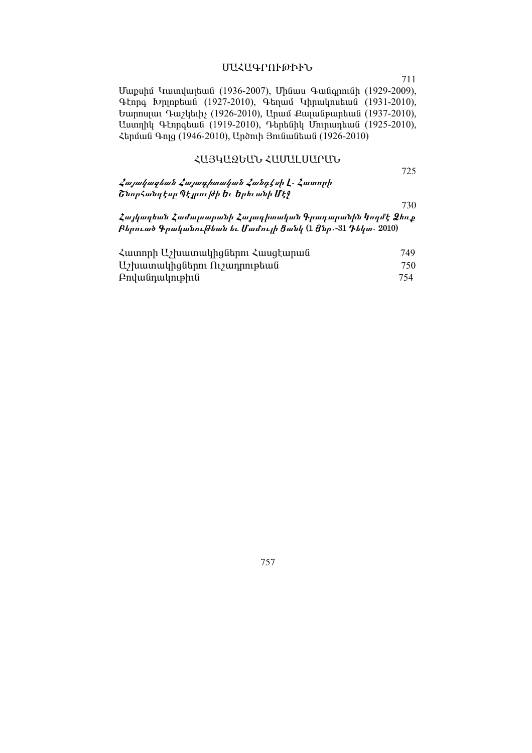### ՄԱՀԱԳՐՈՒԹՒՒՆ

711

Մաքսիմ Կատվալեան (1936-2007), Մինաս Գանգրունի (1929-2009), Գէորգ Խրլոբեան (1927-2010), Գեղամ Կիրակոսեան (1931-2010), Եարոսյաւ Դաշկեւիչ (1926-2010), Արամ Քայանթարեան (1937-2010), Աստղիկ Գէորգեան (1919-2010), Դերենիկ Մուրադեան (1925-2010), Հերման Գոլց (1946-2010), Արծուի Յունանեան (1926-2010)

#### ՀԱՅԿԱԶԵԱՆ ՀԱՄԱԼՍԱՐԱՆ

725

| Հա <i>յակազեան Հայագիտական Հանդէս</i> ի <u>Լ</u> ․ Հատորի |  |
|-----------------------------------------------------------|--|
| Շնորհանդէսը Պէյրու ժի Եւ Երեւանի Մէջ                      |  |

730

Հայկազեան Համալսարանի Հայագիտական Գրադարանին Կողմէ Ձեռք  $R$ երուած Գրականուխեան եւ Մամույի  $3$ անկ  $(1 35p-31$  Դեկտ.  $2010)$ 

| $\lambda$ ատորի Աշխատակիցներու $\lambda$ ասցէարան | 749 |
|---------------------------------------------------|-----|
| $U_2$ խատակիցներու Ու $\gamma$ ադրութեան          | 750 |
| Բովանդակութիւն                                    | 754 |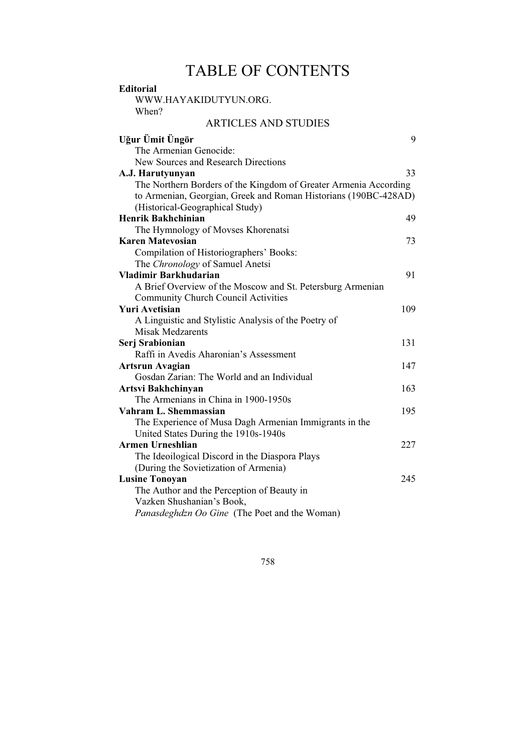# TABLE OF CONTENTS

| <b>Editorial</b><br>WWW.HAYAKIDUTYUN.ORG.                        |     |
|------------------------------------------------------------------|-----|
| When?                                                            |     |
| <b>ARTICLES AND STUDIES</b>                                      |     |
|                                                                  |     |
| Uğur Ümit Üngör                                                  | 9   |
| The Armenian Genocide:                                           |     |
| New Sources and Research Directions                              |     |
| A.J. Harutyunyan                                                 | 33. |
| The Northern Borders of the Kingdom of Greater Armenia According |     |
| to Armenian, Georgian, Greek and Roman Historians (190BC-428AD)  |     |
| (Historical-Geographical Study)                                  |     |
| Henrik Bakhchinian                                               | 49  |
| The Hymnology of Movses Khorenatsi                               |     |
| <b>Karen Matevosian</b>                                          | 73  |
| Compilation of Historiographers' Books:                          |     |
| The Chronology of Samuel Anetsi                                  |     |
| Vladimir Barkhudarian                                            | 91  |
| A Brief Overview of the Moscow and St. Petersburg Armenian       |     |
| <b>Community Church Council Activities</b>                       |     |
| <b>Yuri Avetisian</b>                                            | 109 |
| A Linguistic and Stylistic Analysis of the Poetry of             |     |
| <b>Misak Medzarents</b>                                          |     |
| Serj Srabionian                                                  | 131 |
| Raffi in Avedis Aharonian's Assessment                           |     |
| <b>Artsrun Avagian</b>                                           | 147 |
| Gosdan Zarian: The World and an Individual                       |     |
| <b>Artsvi Bakhchinyan</b>                                        | 163 |
| The Armenians in China in 1900-1950s                             |     |
| Vahram L. Shemmassian                                            | 195 |
| The Experience of Musa Dagh Armenian Immigrants in the           |     |
| United States During the 1910s-1940s                             |     |
| <b>Armen Urneshlian</b>                                          | 227 |
| The Ideoilogical Discord in the Diaspora Plays                   |     |
| (During the Sovietization of Armenia)                            |     |
| <b>Lusine Tonoyan</b>                                            | 245 |
| The Author and the Perception of Beauty in                       |     |
| Vazken Shushanian's Book,                                        |     |
| Panasdeghdzn Oo Gine (The Poet and the Woman)                    |     |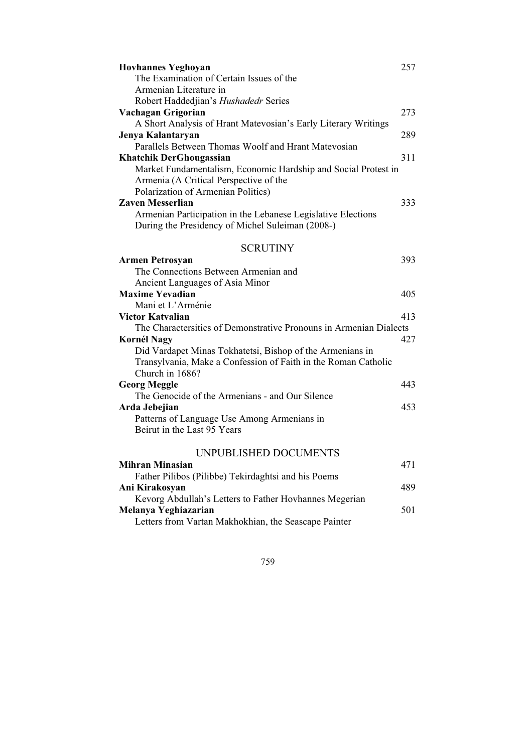| <b>Hovhannes Yeghoyan</b>                                          | 257 |
|--------------------------------------------------------------------|-----|
| The Examination of Certain Issues of the                           |     |
| Armenian Literature in                                             |     |
| Robert Haddedjian's Hushadedr Series                               |     |
| Vachagan Grigorian                                                 | 273 |
| A Short Analysis of Hrant Matevosian's Early Literary Writings     |     |
| Jenya Kalantaryan                                                  | 289 |
| Parallels Between Thomas Woolf and Hrant Matevosian                |     |
| <b>Khatchik DerGhougassian</b>                                     | 311 |
| Market Fundamentalism, Economic Hardship and Social Protest in     |     |
| Armenia (A Critical Perspective of the                             |     |
| Polarization of Armenian Politics)                                 |     |
| <b>Zaven Messerlian</b>                                            | 333 |
| Armenian Participation in the Lebanese Legislative Elections       |     |
| During the Presidency of Michel Suleiman (2008-)                   |     |
| <b>SCRUTINY</b>                                                    |     |
| <b>Armen Petrosyan</b>                                             | 393 |
| The Connections Between Armenian and                               |     |
| Ancient Languages of Asia Minor                                    |     |
| <b>Maxime Yevadian</b>                                             | 405 |
| Mani et L'Arménie                                                  |     |
| Victor Katvalian                                                   | 413 |
| The Charactersitics of Demonstrative Pronouns in Armenian Dialects |     |
| <b>Kornél Nagy</b>                                                 | 427 |
| Did Vardapet Minas Tokhatetsi, Bishop of the Armenians in          |     |
| Transylvania, Make a Confession of Faith in the Roman Catholic     |     |
| Church in 1686?                                                    |     |
| <b>Georg Meggle</b>                                                | 443 |
| The Genocide of the Armenians - and Our Silence                    |     |
| Arda Jebejian                                                      | 453 |
| Patterns of Language Use Among Armenians in                        |     |
| Beirut in the Last 95 Years                                        |     |
| UNPUBLISHED DOCUMENTS                                              |     |
| <b>Mihran Minasian</b>                                             | 471 |
| Father Pilibos (Pilibbe) Tekirdaghtsi and his Poems                |     |
| Ani Kirakosyan                                                     | 489 |
| Kevorg Abdullah's Letters to Father Hovhannes Megerian             |     |

| Kevorg Abdullah's Letters to Father Hovhannes Megerian |     |
|--------------------------------------------------------|-----|
| Melanya Yeghiazarian                                   | 501 |
| Letters from Vartan Makhokhian, the Seascape Painter   |     |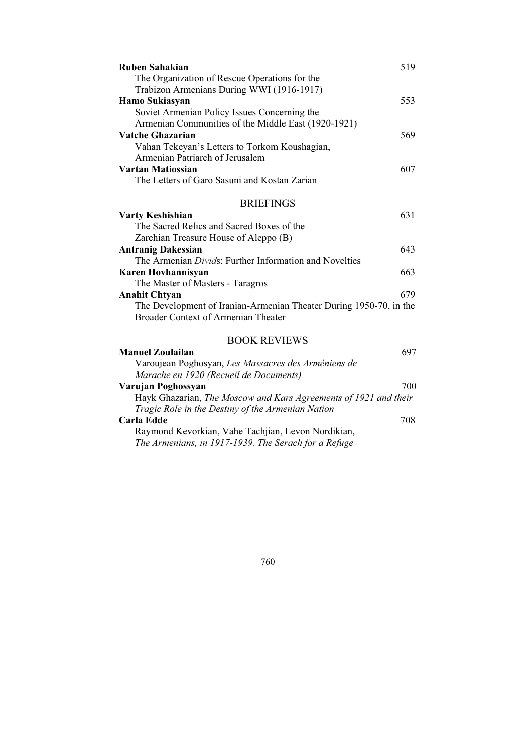| Ruben Sahakian                                                     | 519 |
|--------------------------------------------------------------------|-----|
| The Organization of Rescue Operations for the                      |     |
| Trabizon Armenians During WWI (1916-1917)                          |     |
| Hamo Sukiasyan                                                     | 553 |
| Soviet Armenian Policy Issues Concerning the                       |     |
| Armenian Communities of the Middle East (1920-1921)                |     |
| Vatche Ghazarian                                                   | 569 |
| Vahan Tekeyan's Letters to Torkom Koushagian,                      |     |
| Armenian Patriarch of Jerusalem                                    |     |
| Vartan Matiossian                                                  | 607 |
| The Letters of Garo Sasuni and Kostan Zarian                       |     |
| <b>BRIEFINGS</b>                                                   |     |
| Varty Keshishian                                                   | 631 |
| The Sacred Relics and Sacred Boxes of the                          |     |
| Zarehian Treasure House of Aleppo (B)                              |     |
| <b>Antranig Dakessian</b>                                          | 643 |
| The Armenian Divids: Further Information and Novelties             |     |
| Karen Hovhannisyan                                                 | 663 |
| The Master of Masters - Taragros                                   |     |
| <b>Anahit Chtyan</b>                                               | 679 |
| The Development of Iranian-Armenian Theater During 1950-70, in the |     |
| <b>Broader Context of Armenian Theater</b>                         |     |
| <b>BOOK REVIEWS</b>                                                |     |
| <b>Manuel Zoulailan</b>                                            | 697 |
| Varoujean Poghosyan, Les Massacres des Arméniens de                |     |
| Marache en 1920 (Recueil de Documents)                             |     |
| Varujan Poghossyan                                                 | 700 |
| Hayk Ghazarian, The Moscow and Kars Agreements of 1921 and their   |     |
| Tragic Role in the Destiny of the Armenian Nation                  |     |
| Carla Edde                                                         | 708 |

Raymond Kevorkian, Vahe Tachjian, Levon Nordikian, The Armenians, in 1917-1939. The Serach for a Refuge